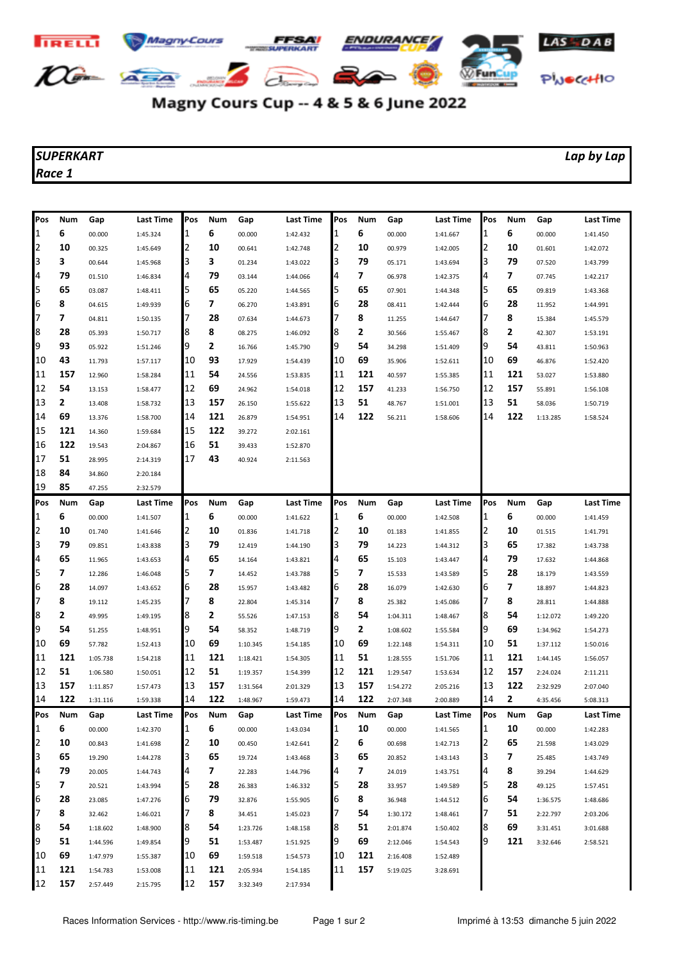

## Magny Cours Cup -- 4 & 5 & 6 June 2022

## *SUPERKART Lap by Lap Race 1*

| Pos | Num | Gap      | <b>Last Time</b> | Pos | Num | Gap      | <b>Last Time</b> | Pos | Num | Gap      | Last Time        | <b>Pos</b> | Num        | Gap      | <b>Last Time</b> |
|-----|-----|----------|------------------|-----|-----|----------|------------------|-----|-----|----------|------------------|------------|------------|----------|------------------|
| 1   | 6   | 00.000   | 1:45.324         | 1   | 6   | 00.000   | 1:42.432         | 1   | 6   | 00.000   | 1:41.667         | 1          | 6          | 00.000   | 1:41.450         |
| 2   | 10  | 00.325   | 1:45.649         | 2   | 10  | 00.641   | 1:42.748         | 2   | 10  | 00.979   | 1:42.005         | 2          | 10         | 01.601   | 1:42.072         |
| 3   | 3   | 00.644   | 1:45.968         | 3   | 3   | 01.234   | 1:43.022         | 3   | 79  | 05.171   | 1:43.694         | 3          | 79         | 07.520   | 1:43.799         |
| 4   | 79  | 01.510   | 1:46.834         | 4   | 79  | 03.144   | 1:44.066         | 4   | 7   | 06.978   | 1:42.375         | 4          | 7          | 07.745   | 1:42.217         |
| 5   | 65  | 03.087   | 1:48.411         | 5   | 65  | 05.220   | 1:44.565         | 5   | 65  | 07.901   | 1:44.348         | 5          | 65         | 09.819   | 1:43.368         |
| 6   | 8   | 04.615   | 1:49.939         | 6   | 7   | 06.270   | 1:43.891         | 6   | 28  | 08.411   | 1:42.444         | 6          | 28         | 11.952   | 1:44.991         |
| 7   | 7   | 04.811   | 1:50.135         | 7   | 28  | 07.634   | 1:44.673         | 7   | 8   | 11.255   | 1:44.647         | 17         | 8          | 15.384   | 1:45.579         |
| 8   | 28  | 05.393   | 1:50.717         | 8   | 8   | 08.275   | 1:46.092         | 8   | 2   | 30.566   | 1:55.467         | 8          | 2          | 42.307   | 1:53.191         |
| 9   | 93  | 05.922   | 1:51.246         | 9   | 2   | 16.766   | 1:45.790         | 9   | 54  | 34.298   | 1:51.409         | 9          | 54         | 43.811   | 1:50.963         |
| 10  | 43  | 11.793   | 1:57.117         | 10  | 93  | 17.929   | 1:54.439         | 10  | 69  | 35.906   | 1:52.611         | 10         | 69         | 46.876   | 1:52.420         |
| 11  | 157 | 12.960   | 1:58.284         | 11  | 54  | 24.556   | 1:53.835         | 11  | 121 | 40.597   | 1:55.385         | 11         | 121        | 53.027   | 1:53.880         |
| 12  | 54  | 13.153   | 1:58.477         | 12  | 69  | 24.962   | 1:54.018         | 12  | 157 | 41.233   | 1:56.750         | 12         | 157        | 55.891   | 1:56.108         |
| 13  | 2   | 13.408   | 1:58.732         | 13  | 157 | 26.150   | 1:55.622         | 13  | 51  | 48.767   | 1:51.001         | 13         | 51         | 58.036   | 1:50.719         |
| 14  | 69  | 13.376   | 1:58.700         | 14  | 121 | 26.879   | 1:54.951         | 14  | 122 | 56.211   | 1:58.606         | 14         | 122        | 1:13.285 | 1:58.524         |
| 15  | 121 | 14.360   | 1:59.684         | 15  | 122 | 39.272   | 2:02.161         |     |     |          |                  |            |            |          |                  |
| 16  | 122 | 19.543   | 2:04.867         | 16  | 51  | 39.433   | 1:52.870         |     |     |          |                  |            |            |          |                  |
| 17  | 51  | 28.995   | 2:14.319         | 17  | 43  | 40.924   | 2:11.563         |     |     |          |                  |            |            |          |                  |
| 18  | 84  | 34.860   | 2:20.184         |     |     |          |                  |     |     |          |                  |            |            |          |                  |
| 19  | 85  | 47.255   | 2:32.579         |     |     |          |                  |     |     |          |                  |            |            |          |                  |
| Pos | Num | Gap      | Last Time        | Pos | Num | Gap      | Last Time        | Pos | Num | Gap      | <b>Last Time</b> | Pos        | Num        | Gap      | Last Time        |
| 1   | 6   | 00.000   | 1:41.507         | 1   | 6   | 00.000   | 1:41.622         | 1   | 6   | 00.000   | 1:42.508         | 11         | 6          | 00.000   | 1:41.459         |
| 2   | 10  | 01.740   | 1:41.646         | 2   | 10  | 01.836   | 1:41.718         | 2   | 10  | 01.183   | 1:41.855         | 2          | 10         | 01.515   | 1:41.791         |
| 3   | 79  | 09.851   | 1:43.838         | 3   | 79  | 12.419   | 1:44.190         | 3   | 79  | 14.223   | 1:44.312         | 3          | 65         | 17.382   | 1:43.738         |
| 4   | 65  | 11.965   | 1:43.653         | 4   | 65  | 14.164   | 1:43.821         | 4   | 65  | 15.103   | 1:43.447         | 4          | 79         | 17.632   | 1:44.868         |
| 5   | 7   | 12.286   | 1:46.048         | 5   | 7   | 14.452   | 1:43.788         | 5   | 7   | 15.533   | 1:43.589         | 5          | 28         | 18.179   | 1:43.559         |
| 6   | 28  | 14.097   | 1:43.652         | 6   | 28  | 15.957   | 1:43.482         | 6   | 28  | 16.079   | 1:42.630         | 6          | 7          | 18.897   | 1:44.823         |
| 7   | 8   | 19.112   | 1:45.235         |     | 8   | 22.804   | 1:45.314         | 7   | 8   | 25.382   | 1:45.086         | 17         | 8          | 28.811   | 1:44.888         |
| 8   | 2   | 49.995   | 1:49.195         | 8   | 2   | 55.526   | 1:47.153         | 8   | 54  | 1:04.311 | 1:48.467         | 8          | 54         | 1:12.072 | 1:49.220         |
| 9   | 54  | 51.255   | 1:48.951         | 9   | 54  | 58.352   | 1:48.719         | 9   | 2   | 1:08.602 | 1:55.584         | 9          | 69         | 1:34.962 | 1:54.273         |
| 10  | 69  | 57.782   | 1:52.413         | 10  | 69  | 1:10.345 | 1:54.185         | 10  | 69  | 1:22.148 | 1:54.311         | 10         | 51         | 1:37.112 | 1:50.016         |
| 11  | 121 | 1:05.738 | 1:54.218         | 11  | 121 | 1:18.421 | 1:54.305         | 11  | 51  | 1:28.555 | 1:51.706         | 11         | 121        | 1:44.145 | 1:56.057         |
| 12  | 51  | 1:06.580 | 1:50.051         | 12  | 51  | 1:19.357 | 1:54.399         | 12  | 121 | 1:29.547 | 1:53.634         | 12         | 157        | 2:24.024 | 2:11.211         |
| 13  | 157 | 1:11.857 | 1:57.473         | 13  | 157 | 1:31.564 | 2:01.329         | 13  | 157 | 1:54.272 | 2:05.216         | 13         | 122        | 2:32.929 | 2:07.040         |
| 14  | 122 | 1:31.116 | 1:59.338         | 14  | 122 | 1:48.967 | 1:59.473         | 14  | 122 | 2:07.348 | 2:00.889         | 14         | 2          | 4:35.456 | 5:08.313         |
| Pos | Num | Gap      | Last Time        | Pos | Num | Gap      | Last Time        | Pos | Num | Gap      | Last Time        | Pos        | <b>Num</b> | Gap      | <b>Last Time</b> |
| 1   | 6   | 00.000   | 1:42.370         | 1   | 6   | 00.000   | 1:43.034         | 1   | 10  | 00.000   | 1:41.565         | 11         | 10         | 00.000   | 1:42.283         |
| 2   | 10  | 00.843   | 1:41.698         | 2   | 10  | 00.450   | 1:42.641         | 2   | 6   | 00.698   | 1:42.713         | 2          | 65         | 21.598   | 1:43.029         |
| 3   | 65  | 19.290   | 1:44.278         | 3   | 65  | 19.724   | 1:43.468         | 3   | 65  | 20.852   | 1:43.143         | 3          | 7          | 25.485   | 1:43.749         |
| 4   | 79  | 20.005   | 1:44.743         | 4   | 7   | 22.283   | 1:44.796         | 4   | 7   | 24.019   | 1:43.751         | 4          | 8          | 39.294   | 1:44.629         |
| 5   | 7   | 20.521   | 1:43.994         | 5   | 28  | 26.383   | 1:46.332         | 5   | 28  | 33.957   | 1:49.589         | 5          | 28         | 49.125   | 1:57.451         |
| 6   | 28  | 23.085   | 1:47.276         | 6   | 79  | 32.876   | 1:55.905         | 6   | 8   | 36.948   | 1:44.512         | 6          | 54         | 1:36.575 | 1:48.686         |
| 7   | 8   | 32.462   | 1:46.021         |     | 8   | 34.451   | 1:45.023         | 7   | 54  | 1:30.172 | 1:48.461         | 17         | 51         | 2:22.797 | 2:03.206         |
| 8   | 54  | 1:18.602 | 1:48.900         | 8   | 54  | 1:23.726 | 1:48.158         | 8   | 51  | 2:01.874 | 1:50.402         | 8          | 69         | 3:31.451 | 3:01.688         |
| 9   | 51  | 1:44.596 | 1:49.854         | 9   | 51  | 1:53.487 | 1:51.925         | 9   | 69  | 2:12.046 | 1:54.543         | 9          | 121        | 3:32.646 | 2:58.521         |
| 10  | 69  | 1:47.979 | 1:55.387         | 10  | 69  | 1:59.518 | 1:54.573         | 10  | 121 | 2:16.408 | 1:52.489         |            |            |          |                  |
| 11  | 121 | 1:54.783 | 1:53.008         | 11  | 121 | 2:05.934 | 1:54.185         | 11  | 157 | 5:19.025 | 3:28.691         |            |            |          |                  |
| 12  | 157 | 2:57.449 | 2:15.795         | 12  | 157 | 3:32.349 | 2:17.934         |     |     |          |                  |            |            |          |                  |